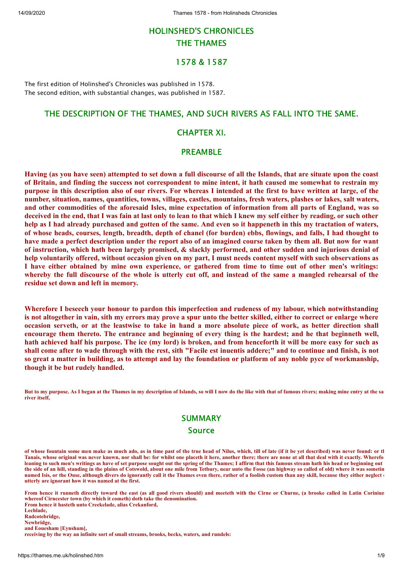## HOLINSHED'S CHRONICLES THE THAMES

## 1578 & 1587

The first edition of Holinshed's Chronicles was published in 1578. The second edition, with substantial changes, was published in 1587.

## THE DESCRIPTION OF THE THAMES, AND SUCH RIVERS AS FALL INTO THE SAME.

#### CHAPTER XI.

#### PREAMBLE

Having (as you have seen) attempted to set down a full discourse of all the Islands, that are situate upon the coast of Britain, and finding the success not correspondent to mine intent, it hath caused me somewhat to restrain my purpose in this description also of our rivers. For whereas I intended at the first to have written at large, of the **number, situation, names, quantities, towns, villages, castles, mountains, fresh waters, plashes or lakes, salt waters,** and other commodities of the aforesaid Isles, mine expectation of information from all parts of England, was so deceived in the end, that I was fain at last only to lean to that which I knew my self either by reading, or such other help as I had already purchased and gotten of the same. And even so it happeneth in this my tractation of waters, of whose heads, courses, length, breadth, depth of chanel (for burden) ebbs, flowings, and falls, I had thought to have made a perfect description under the report also of an imagined course taken by them all. But now for want of instruction, which hath been largely promised, & slackly performed, and other sudden and injurious denial of help voluntarily offered, without occasion given on my part, I must needs content myself with such observations as I have either obtained by mine own experience, or gathered from time to time out of other men's writings: whereby the full discourse of the whole is utterly cut off, and instead of the same a mangled rehearsal of the **residue set down and left in memory.**

**Wherefore I beseech your honour to pardon this imperfection and rudeness of my labour, which notwithstanding** is not altogether in vain, sith my errors may prove a spur unto the better skilled, either to correct or enlarge where occasion serveth, or at the leastwise to take in hand a more absolute piece of work, as better direction shall encourage them thereto. The entrance and beginning of every thing is the hardest; and he that beginneth well, hath achieved half his purpose. The ice (my lord) is broken, and from henceforth it will be more easy for such as shall come after to wade through with the rest, sith "Facile est inuentis addere;" and to continue and finish, is not so great a matter in building, as to attempt and lay the foundation or platform of any noble pyce of workmanship, **though it be but rudely handled.**

**But to my purpose. As I began at the Thames in my description of Islands, so will I now do the like with that of famous rivers; making mine entry at the sa river itself,**

# SUMMARY

## Source

**of whose fountain some men make as much ado, as in time past of the true head of Nilus, which, till of late (if it be yet described) was never found: or th Tanais, whose original was never known, nor shall be: for whilst one placeth it here, another there; there are none at all that deal with it exactly. Wherefo leaning to such men's writings as have of set purpose sought out the spring of the Thames; I affirm that this famous stream hath his head or beginning out the side of an hill, standing in the plains of Cotswold, about one mile from Tetbury, near unto the Fosse (an highway so called of old) where it was sometim** named Isis, or the Ouse, although divers do ignorantly call it the Thames even there, rather of a foolish custom than any skill, because they either neglect of **utterly are ignorant how it was named at the first.**

**From hence it runneth directly toward the east (as all good rivers should) and meeteth with the Cirne or Churne, (a brooke called in Latin Corinium whereof Cirncester town (by which it cometh) doth take the denomination. From hence it hasteth unto Creekelade, alias Crekanford,** 

**Lechlade,**

**Radcotebridge, Newbridge,**

**and Eouesham [Eynsham],**

**receiving by the way an infinite sort of small streams, brooks, becks, waters, and rundels:**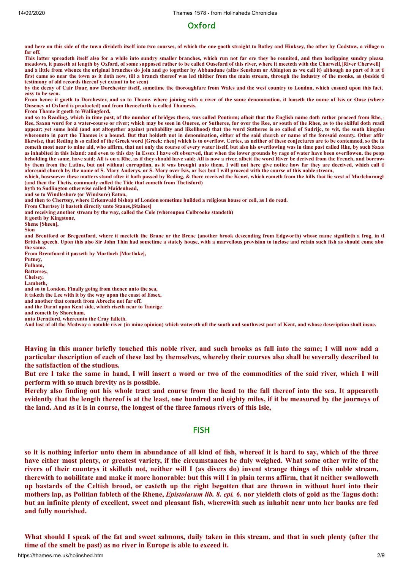

**and here on this side of the town divideth itself into two courses, of which the one goeth straight to Botley and Hinksey, the other by Godstow, a village n far off.**

**This latter spreadeth itself also for a while into sundry smaller branches, which run not far ere they be reunited, and then beclipping sundry pleasa meadows, it passeth at length by Oxford, of some supposed rather to be called Ouseford of this river, where it meeteth with the Charwell,[River Cherwell] and a little from whence the original branches do join and go together by Abbandune (alias Sensham or Abington as we call it) although no part of it at th first came so near the town as it doth now, till a branch thereof was led thither from the main stream, through the industry of the monks, as (beside th testimony of old records thereof yet extant to be seen)**

**by the decay of Cair Dour, now Dorchester itself, sometime the thoroughfare from Wales and the west country to London, which ensued upon this fact, easy to be seen.** 

**From hence it goeth to Dorchester, and so to Thame, where joining with a river of the same denomination, it looseth the name of Isis or Ouse (where Ouseney at Oxford is producted) and from thenceforth is called Thamesis. From Thame it goeth to Wallingford,**

and so to Reading, which in time past, of the number of bridges there, was called Pontium; albeit that the English name doth rather proceed from Rhe, **Ree, Saxon word for a water-course or river; which may be seen in Oueree, or Sutheree, for over the Ree, or south of the Rhee, as to the skilful doth readi** appear; yet some hold (and not altogether against probability and likelihood) that the word Sutheree is so called of Sudrijc, to wit, the south kingdom **whereunto in part the Thames is a bound. But that holdeth not in denomination, either of the said church or name of the foresaid county. Other affir likewise, that Reding is so called of the Greek word [Greek: rheo] which is to overflow. Certes, as neither of these conjectures are to be contemned, so the la cometh most near to mine aid, who affirm, that not only the course of every water itself, but also his overflowing was in time past called Rhe, by such Saxon as inhabited in this Island: and even to this day in Essex I have oft observed, that when the lower grounds by rage of water have been overflowen, the peop beholding the same, have said; All is on a Rhe, as if they should have said; All is now a river, albeit the word River be derived from the French, and borrowe by them from the Latins, but not without corruption, as it was brought unto them. I will not here give notice how far they are deceived, which call th aforesaid church by the name of S. Mary Auderys, or S. Mary over Isis, or Ise: but I will proceed with the course of this noble stream,** 

which, howsoever these matters stand after it hath passed by Reding, & there received the Kenet, which cometh from the hills that lie west of Marleborough **(and then the Thetis, commonly called the Tide that cometh from Thetisford)**

**hyth to Sudlington otherwise called Maidenhead,**

**and so to Windleshore (or Windsore) Eaton,** 

**and then to Chertsey, where Erkenwald bishop of London sometime builded a religious house or cell, as I do read.**

**From Chertsey it hasteth directly unto Stanes,[Staines]**

**and receiving another stream by the way, called the Cole (whereupon Colbrooke standeth)**

**it goeth by Kingstone,**

**Shene [Sheen],**

**Sion**

**and Brentford or Bregentford, where it meeteth the Brane or the Brene (another brook descending from Edgworth) whose name signifieth a frog, in th British speech. Upon this also Sir John Thin had sometime a stately house, with a marvellous provision to inclose and retain such fish as should come abou the same.**

**From Brentfoord it passeth by Mortlach [Mortlake],**

**Putney,**

**Fulham,**

**Battersey,**

**Chelsey,**

**Lambeth,**

**and so to London. Finally going from thence unto the sea,**

**it taketh the Lee with it by the way upon the coast of Essex,**

**and another that cometh from Abreche not far off,** 

**and the Darnt upon Kent side, which riseth near to Tanrige**

**and cometh by Shoreham,**

**unto Derntford, whereunto the Cray falleth.**

**And last of all the Medway a notable river (in mine opinion) which watereth all the south and southwest part of Kent, and whose description shall insue.**

Having in this maner briefly touched this noble river, and such brooks as fall into the same; I will now add a particular description of each of these last by themselves, whereby their courses also shall be severally described to **the satisfaction of the studious.**

But ere I take the same in hand, I will insert a word or two of the commodities of the said river, which I will **perform with so much brevity as is possible.**

Hereby also finding out his whole tract and course from the head to the fall thereof into the sea. It appeareth evidently that the length thereof is at the least, one hundred and eighty miles, if it be measured by the journeys of **the land. And as it is in course, the longest of the three famous rivers of this Isle,**

#### FISH

so it is nothing inferior unto them in abundance of all kind of fish, whereof it is hard to say, which of the three have either most plenty, or greatest variety, if the circumstances be duly weighed. What some other write of the rivers of their countrys it skilleth not, neither will I (as divers do) invent strange things of this noble stream, therewith to nobilitate and make it more honorable: but this will I in plain terms affirm, that it neither swalloweth up bastards of the Celtish brood, or casteth up the right begotten that are thrown in without hurt into their mothers lap, as Politian fableth of the Rhene, *Epistolarum lib. 8. epi. 6.* nor yieldeth clots of gold as the Tagus doth: but an infinite plenty of excellent, sweet and pleasant fish, wherewith such as inhabit near unto her banks are fed **and fully nourished.**

What should I speak of the fat and sweet salmons, daily taken in this stream, and that in such plenty (after the **time of the smelt be past) as no river in Europe is able to exceed it.**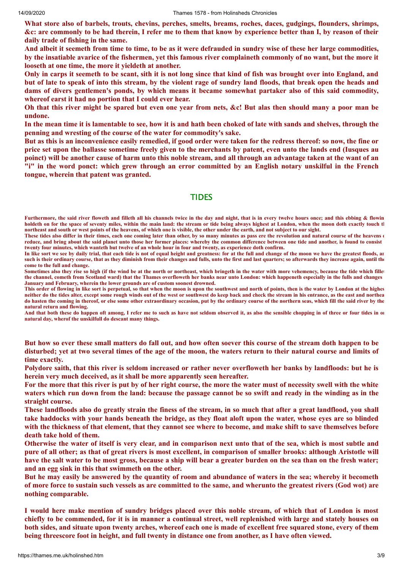**What store also of barbels, trouts, chevins, perches, smelts, breams, roches, daces, gudgings, flounders, shrimps,** &c: are commonly to be had therein, I refer me to them that know by experience better than I, by reason of their **daily trade of fishing in the same.**

And albeit it seemeth from time to time, to be as it were defrauded in sundry wise of these her large commodities, by the insatiable avarice of the fishermen, yet this famous river complaineth commonly of no want, but the more it **looseth at one time, the more it yieldeth at another.**

Only in carps it seemeth to be scant, sith it is not long since that kind of fish was brought over into England, and but of late to speak of into this stream, by the violent rage of sundry land floods, that break open the heads and **dams of divers gentlemen's ponds, by which means it became somewhat partaker also of this said commodity, whereof earst it had no portion that I could ever hear.**

Oh that this river might be spared but even one year from nets, &c! But alas then should many a poor man be **undone.**

In the mean time it is lamentable to see, how it is and hath been choked of late with sands and shelves, through the **penning and wresting of the course of the water for commodity's sake.**

But as this is an inconvenience easily remedied, if good order were taken for the redress thereof: so now, the fine or price set upon the ballasse sometime freely given to the merchants by patent, even unto the lands end (Iusques au poinct) will be another cause of harm unto this noble stream, and all through an advantage taken at the want of an "i" in the word ponct: which grew through an error committed by an English notary unskilful in the French **tongue, wherein that patent was granted.**

#### TIDES

Furthermore, the said river floweth and filleth all his channels twice in the day and night, that is in every twelve hours once; and this ebbing & flowin **holdeth on for the space of seventy miles, within the main land: the stream or tide being always highest at London, when the moon doth exactly touch th northeast and south or west points of the heavens, of which one is visible, the other under the earth, and not subject to our sight.**

These tides also differ in their times, each one coming later than other, by so many minutes as pass ere the revolution and natural course of the heavens of **reduce, and bring about the said planet unto those her former places: whereby the common difference between one tide and another, is found to consist twenty four minutes, which wanteth but twelve of an whole hour in four and twenty, as experience doth confirm.**

In like sort we see by daily trial, that each tide is not of equal height and greatness: for at the full and change of the moon we have the greatest floods, ar **such is their ordinary course, that as they diminish from their changes and fulls, unto the first and last quarters; so afterwards they increase again, until the come to the full and change.**

Sometimes also they rise so high (if the wind be at the north or northeast, which bringeth in the water with more vehemency, because the tide which fillet **the channel, cometh from Scotland ward) that the Thames overfloweth her banks near unto London: which happeneth especially in the fulls and changes January and February, wherein the lower grounds are of custom soonest drowned.**

**This order of flowing in like sort is perpetual, so that when the moon is upon the southwest and north of points, then is the water by London at the highes neither do the tides alter, except some rough winds out of the west or southwest do keep back and check the stream in his entrance, as the east and northea do hasten the coming in thereof, or else some other extraordinary occasion, put by the ordinary course of the northern seas, which fill the said river by the natural return and flowing.**

**And that both these do happen oft among, I refer me to such as have not seldom observed it, as also the sensible chopping in of three or four tides in on natural day, wherof the unskilfull do descant many things.**

But how so ever these small matters do fall out, and how often soever this course of the stream doth happen to be disturbed; yet at two several times of the age of the moon, the waters return to their natural course and limits of **time exactly.**

Polydore saith, that this river is seldom increased or rather never overfloweth her banks by landfloods: but he is **herein very much deceived, as it shall be more apparently seen hereafter.**

For the more that this river is put by of her right course, the more the water must of necessity swell with the white waters which run down from the land: because the passage cannot be so swift and ready in the winding as in the **straight course.**

These landfloods also do greatly strain the finess of the stream, in so much that after a great landflood, you shall take haddocks with your hands beneath the bridge, as they float aloft upon the water, whose eyes are so blinded with the thickness of that element, that they cannot see where to become, and make shift to save themselves before **death take hold of them.**

Otherwise the water of itself is very clear, and in comparison next unto that of the sea, which is most subtle and pure of all other; as that of great rivers is most excellent, in comparison of smaller brooks: although Aristotle will have the salt water to be most gross, because a ship will bear a greater burden on the sea than on the fresh water; **and an egg sink in this that swimmeth on the other.**

But he may easily be answered by the quantity of room and abundance of waters in the sea; whereby it becometh of more force to sustain such vessels as are committed to the same, and wherunto the greatest rivers (God wot) are **nothing comparable.**

I would here make mention of sundry bridges placed over this noble stream, of which that of London is most chiefly to be commended, for it is in manner a continual street, well replenished with large and stately houses on both sides, and situate upon twenty arches, whereof each one is made of excellent free squared stone, every of them being threescore foot in height, and full twenty in distance one from another, as I have often viewed.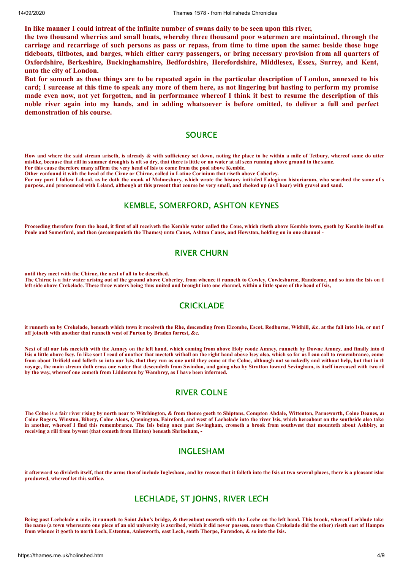In like manner I could intreat of the infinite number of swans daily to be seen upon this river,

**the two thousand wherries and small boats, whereby three thousand poor watermen are maintained, through the** carriage and recarriage of such persons as pass or repass, from time to time upon the same: beside those huge tideboats, tiltbotes, and barges, which either carry passengers, or bring necessary provision from all quarters of **Oxfordshire, Berkeshire, Buckinghamshire, Bedfordshire, Herefordshire, Middlesex, Essex, Surrey, and Kent, unto the city of London.**

But for somuch as these things are to be repeated again in the particular description of London, annexed to his card; I surcease at this time to speak any more of them here, as not lingering but hasting to perform my promise made even now, not yet forgotten, and in performance whereof I think it best to resume the description of this noble river again into my hands, and in adding whatsoever is before omitted, to deliver a full and perfect **demonstration of his course.**

#### **SOURCE**

**How and where the said stream ariseth, is already & with sufficiency set down, noting the place to be within a mile of Tetbury, whereof some do utter mislike, because that rill in summer droughts is oft so dry, that there is little or no water at all seen running above ground in the same.**

**For this cause therefore many affirm the very head of Isis to come from the pool above Kemble.**

**Other confound it with the head of the Cirne or Chirne, called in Latine Corinium that riseth above Coberley. For my part I follow Leland, as he doth the monk of Malmesbury, which wrote the history intituled Eulogium historiarum, who searched the same of s purpose, and pronounced with Leland, although at this present that course be very small, and choked up (as I hear) with gravel and sand.**

#### KEMBLE, SOMERFORD, ASHTON KEYNES

**Proceeding therefore from the head, it first of all receiveth the Kemble water called the Coue, which riseth above Kemble town, goeth by Kemble itself un Poole and Somerford, and then (accompanieth the Thames) unto Canes, Ashton Canes, and Howston, holding on in one channel -**

## RIVER CHURN

**until they meet with the Chirne, the next of all to be described.**

**The Chirne is a fair water arising out of the ground above Coberley, from whence it runneth to Cowley, Cowlesburne, Randcome, and so into the Isis on th left side above Crekelade. These three waters being thus united and brought into one channel, within a little space of the head of Isis,**

## **CRICKLADE**

**it runneth on by Crekelade, beneath which town it receiveth the Rhe, descending from Elcombe, Escot, Redburne, Widhill, &c. at the fall into Isis, or not f off joineth with another that runneth west of Purton by Braden forrest, &c.**

**Next of all our Isis meeteth with the Amney on the left hand, which coming from above Holy roode Amney, runneth by Downe Amney, and finally into th** Isis a little above Isey. In like sort I read of another that meeteth withall on the right hand above Isey also, which so far as I can call to remembrance, come **from about Drifield and falleth so into our Isis, that they run as one until they come at the Colne, although not so nakedly and without help, but that in th voyage, the main stream doth cross one water that descendeth from Swindon, and going also by Stratton toward Sevingham, is itself increased with two ril by the way, whereof one cometh from Liddenton by Wambrey, as I have been informed.**

## RIVER COLNE

**The Colne is a fair river rising by north near to Witchington, & from thence goeth to Shiptons, Compton Abdale, Wittenton, Parneworth, Colne Deanes, an Colne Rogers, Winston, Bibery, Colne Alens, Quenington, Faireford, and west of Lachelade into the river Isis, which hereabout on the southside also taket in another, whereof I find this remembrance. The Isis being once past Sevingham, crosseth a brook from southwest that mounteth about Ashbiry, an receiving a rill from bywest (that cometh from Hinton) beneath Shrineham, -**

## INGLESHAM

**it afterward so divideth itself, that the arms therof include Inglesham, and by reason that it falleth into the Isis at two several places, there is a pleasant islan producted, whereof let this suffice.**

## LECHLADE, ST JOHNS, RIVER LECH

Being past Lechelade a mile, it runneth to Saint John's bridge, & thereabout meeteth with the Leche on the left hand. This brook, whereof Lechlade take **the name (a town whereunto one piece of an old university is ascribed, which it did never possess, more than Crekelade did the other) riseth east of Hampne from whence it goeth to north Lech, Estenton, Anlesworth, east Lech, south Thorpe, Farendon, & so into the Isis.**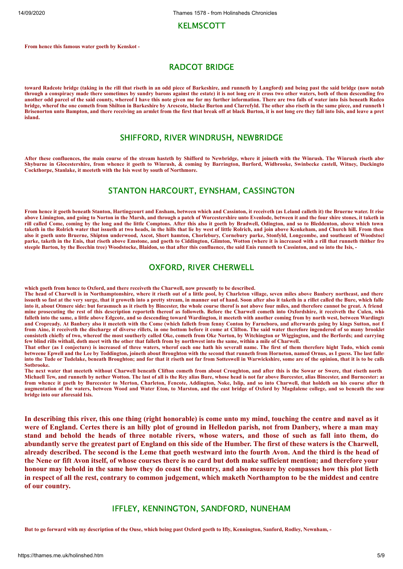#### KELMSCOTT

**From hence this famous water goeth by Kenskot -**

## RADCOT BRIDGE

**toward Radcote bridge (taking in the rill that riseth in an odd piece of Barkeshire, and runneth by Langford) and being past the said bridge (now notab through a conspiracy made there sometimes by sundry barons against the estate) it is not long ere it cross two other waters, both of them descending fro another odd parcel of the said county, whereof I have this note given me for my further information. There are two falls of water into Isis beneath Radco bridge, wherof the one cometh from Shilton in Barkeshire by Arescote, blacke Burton and Clarrefyld. The other also riseth in the same piece, and runneth b Brisenorton unto Bampton, and there receiving an armlet from the first that break off at black Burton, it is not long ere they fall into Isis, and leave a pret island.**

## SHIFFORD, RIVER WINDRUSH, NEWBRIDGE

**After these confluences, the main course of the stream hasteth by Shifford to Newbridge, where it joineth with the Winrush. The Winrush riseth abov Shyburne in Glocestershire, from whence it goeth to Winrush, & coming by Barrington, Burford, Widbrooke, Swinbecke castell, Witney, Duckingto Cockthorpe, Stanlake, it meeteth with the Isis west by south of Northmore.**

## STANTON HARCOURT, EYNSHAM, CASSINGTON

**From hence it goeth beneath Stanton, Hartingcourt and Ensham, between which and Cassinton, it receiveth (as Leland calleth it) the Bruerne water. It rise above Limington, and going to Norton in the Marsh, and through a patch of Worcestershire unto Evenlode, between it and the four shire stones, it taketh in rill called Come, coming by the long and the little Comptons. After this also it goeth by Bradwell, Odington, and so to Bleddenton, above which town taketh in the Rolrich water that issueth at two heads, in the hills that lie by west of little Rolrich, and join above Kenkeham, and Church hill. From then also it goeth unto Bruerne, Shipton underwood, Ascot, Short hamton, Chorlebury, Cornebury parke, Stonfyld, Longcombe, and southeast of Woodstock parke, taketh in the Enis, that riseth above Emstone, and goeth to Ciddington, Glimton, Wotton (where it is increased with a rill that runneth thither fro steeple Barton, by the Beechin tree) Woodstocke, Blaidon, so that after this confluence, the said Enis runneth to Cassinton, and so into the Isis, -**

#### OXFORD, RIVER CHERWELL

**which goeth from hence to Oxford, and there receiveth the Charwell, now presently to be described.** 

**The head of Charwell is in Northamptonshire, where it riseth out of a little pool, by Charleton village, seven miles above Banbery northeast, and there issueth so fast at the very surge, that it groweth into a pretty stream, in manner out of hand. Soon after also it taketh in a rillet called the Bure, which falle into it, about Otmere side: but forasmuch as it riseth by Bincester, the whole course therof is not above four miles, and therefore cannot be great. A friend mine prosecuting the rest of this description reporteth thereof as followeth. Before the Charwell cometh into Oxfordshire, it receiveth the Culen, whic falleth into the same, a little above Edgcote, and so descending toward Wardington, it meeteth with another coming from by north west, between Wardingto** and Cropready. At Banbery also it meeteth with the Come (which falleth from fenny Conton by Farneboro, and afterwards going by kings Sutton, not fa **from Aine, it receiveth the discharge of diverse rillets, in one bottom before it come at Clifton. The said water therefore ingendered of so many brooklet consisteth chiefly of two, whereof the most southerly called Oke, cometh from Oke Norton, by Witchington or Wiggington, and the Berfords; and carrying few blind rills withall, doth meet with the other that falleth from by northwest into the same, within a mile of Charwell.**

**That other (as I conjecture) is increased of three waters, wherof each one hath his severall name. The first of them therefore hight Tudo, which comin** betweene Epwell and the Lee by Toddington, joineth about Broughton with the second that runneth from Horneton, named Ornus, as I guess. The last fallet **into the Tude or Tudelake, beneath Broughton; and for that it riseth not far from Sotteswell in Warwickshire, some are of the opinion, that it is to be calle Sotbrooke.** 

**The next water that meeteth without Charwell beneath Clifton cometh from about Croughton, and after this is the Sowar or Swere, that riseth north Michaell Tew, and runneth by nether Wotton. The last of all is the Rey alias Bure, whose head is not far above Burcester, alias Bincester, and Burncester: an from whence it goeth by Burecester to Merton, Charleton, Fencote, Addington, Noke, Islip, and so into Charwell, that holdeth on his course after th augmentation of the waters, between Wood and Water Eton, to Marston, and the east bridge of Oxford by Magdalene college, and so beneath the sout bridge into our aforesaid Isis.**

In describing this river, this one thing (right honorable) is come unto my mind, touching the centre and navel as it were of England. Certes there is an hilly plot of ground in Helledon parish, not from Danbery, where a man may stand and behold the heads of three notable rivers, whose waters, and those of such as fall into them, do abundantly serve the greatest part of England on this side of the Humber. The first of these waters is the Charwell, already described. The second is the Leme that goeth westward into the fourth Avon. And the third is the head of the Nene or fift Avon itself, of whose courses there is no card but doth make sufficient mention; and therefore your honour may behold in the same how they do coast the country, and also measure by compasses how this plot lieth in respect of all the rest, contrary to common judgement, which maketh Northampton to be the middest and centre **of our country.**

#### IFFLEY, KENNINGTON, SANDFORD, NUNEHAM

**But to go forward with my description of the Ouse, which being past Oxford goeth to Ifly, Kennington, Sanford, Rodley, Newnham, -**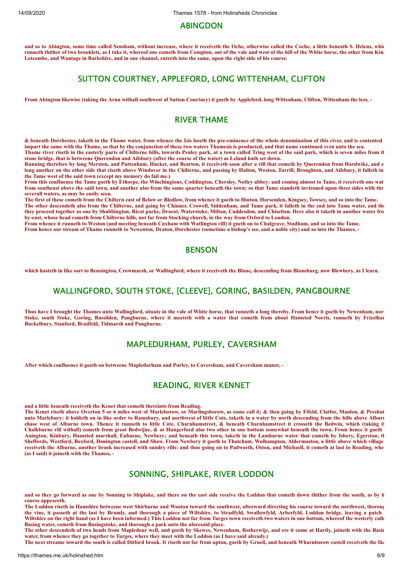## ABINGDON

**and so to Abington, some time called Sensham, without increase, where it receiveth the Oche, otherwise called the Coche, a little beneath S. Helens, whic runneth thither of two brooklets, as I take it, whereof one cometh from Compton, out of the vale and west of the hill of the White horse, the other from King Letcombe, and Wantage in Barkshire, and in one channel, entreth into the same, upon the right side of his course.**

## SUTTON COURTNEY, APPLEFORD, LONG WITTENHAM, CLIFTON

**From Abington likewise (taking the Arun withall southwest of Sutton Courtney) it goeth by Appleford, long Wittenham, Clifton, Wittenham the less, -**

## RIVER THAME

**& beneath Dorchester, taketh in the Thame water, from whence the Isis loseth the pre-eminence of the whole denomination of this river, and is contented impart the same with the Thame, so that by the conjunction of these two waters Thamesis is producted, and that name continued even unto the sea. Thame river riseth in the easterly parts of Chilterne hills, towards Penley park, at a town called Tring west of the said park, which is seven miles from th stone bridge, that is betweene Querendon and Ailsbury (after the course of the water) as Leland hath set down.**

**Running therefore by long Merston, and Puttenham, Hucket, and Bearton, it receiveth soon after a rill that cometh by Querendon from Hardwike, and e long another on the other side that riseth above Windover in the Chilterne, and passing by Halton, Weston, Turrill, Broughton, and Ailsbury, it falleth in the Tame west of the said town (except my memory do fail me.)**

**From this confluence the Tame goeth by Ethorpe, the Winchingtons, Coddington, Chersley, Notley abbey: and coming almost to Tame, it receiveth one wat from southeast above the said town, and another also from the same quarter beneath the town; so that Tame standeth invironed upon three sides with thr severall waters, as may be easily seen.**

**The first of these cometh from the Chiltern east of Below or Bledlow, from whence it goeth to Hinton, Horsenden, Kingsey, Towsey, and so into the Tame. The other descendeth also from the Chilterne, and going by Chinner, Crowell, Siddenham, and Tame park, it falleth in the end into Tame water, and the they proceed together as one by Shabbington, Ricot parke, Dracot, Waterstoke, Milton, Cuddesdon, and Chiselton. Here also it taketh in another water fro by-east, whose head cometh from Chilterne hills, not far from Stocking church, in the way from Oxford to London.**

**From whence it runneth to Weston (and meeting beneath Cuxham with Watlington rill) it goeth on to Chalgrave, Stadham, and so into the Tame.**

**From hence our stream of Thame runneth to Newenton, Draton, Dorchester (sometime a bishop's see, and a noble city) and so into the Thames, -**

#### **BENSON**

**which hasteth in like sort to Bensington, Crowmarsh, or Wallingford, where it receiveth the Blane, descending from Blaneburg, now Blewbery, as I learn.**

## WALLINGFORD, SOUTH STOKE, [CLEEVE], GORING, BASILDEN, PANGBOURNE

**Thus have I brought the Thames unto Wallingford, situate in the vale of White horse, that runneth a long thereby. From hence it goeth by Newenham, nort Stoke, south Stoke, Goring, Bassilden, Pangburne, where it meeteth with a water that cometh from about Hamsted Norris, runneth by Frizelham Buckelbury, Stanford, Bradfeld, Tidmarsh and Pangburne.**

## MAPLEDURHAM, PURLEY, CAVERSHAM

**After which confluence it goeth on betweene Mapledorham and Purley, to Caversham, and Caversham manor, -**

## READING, RIVER KENNET

**and a little beneath receiveth the Kenet that cometh thereinto from Reading.** 

**The Kenet riseth above Overton 5 or 6 miles west of Marleborow, or Marlingsborow, as some call it; & then going by Fifeld, Clatfor, Maulon, & Preshut unto Marlebury: it holdeth on in like order to Ramsbury, and northwest of little Cote, taketh in a water by north descending from the hills above Alburn chase west of Alburne town. Thence it runneth to little Cote, Charnhamstreet, & beneath Charnhamstreet it crosseth the Bedwin, which (taking th Chalkburne rill withall) cometh from great Bedwijne, & at Hungerford also two other in one bottom somewhat beneath the town. From hence it goeth Auington, Kinbury, Hamsted marshall, Euburne, Newbery; and beneath this town, taketh in the Lamburne water that cometh by Isbery, Egerston, th Sheffords, Westford, Boxford, Donington castell, and Shaw. From Newbery it goeth to Thatcham, Wolhampton, Aldermaston, a little above which village receiveth the Alburne, another brook increased with sundry rills: and thus going on to Padworth, Oston, and Michaell, it cometh at last to Reading, whe (as I said) it joineth with the Thames, -**

## SONNING, SHIPLAKE, RIVER LODDON

**and so they go forward as one by Sonning to Shiplake, and there on the east side receive the Loddon that cometh down thither from the south, as by h course appeareth.** 

**The Loddon riseth in Hamshire betweene west Shirburne and Wooton toward the southwest, afterward directing his course toward the northwest, thoroug the vine, it passeth at the last by Bramly, and thorough a piece of Wiltshire, to Stradfyld, Swallowfyld, Arberfyld, Loddon bridge, leaving a patch**  Wiltshire on the right hand (as I have been informed.) This Loddon not far from Turges town receiveth two waters in one bottom, whereof the westerly calle **Basing water, cometh from Basingstoke, and thorough a park unto the aforesaid place.**

**The other descendeth of two heads from Mapledour well, and goeth by Skewes, Newenham, Rotherwijc, and ere it come at Hartly, joineth with the Basin water, from whence they go together to Turges, where they meet with the Loddon (as I have said already.)**

**The next streame toward the south is called Ditford brook. It riseth not far from upton, goeth by Gruell, and beneath Wharnborow castell receiveth the Ike**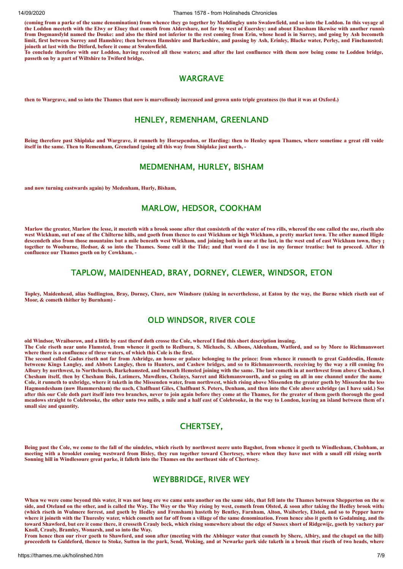**(coming from a parke of the same denomination) from whence they go together by Maddingley unto Swalowfield, and so into the Loddon. In this voyage al the Loddon meeteth with the Elwy or Eluey that cometh from Aldershare, not far by west of Euersley: and about Eluesham likewise with another runnin from Dogmansfyld named the Douke: and also the third not inferior to the rest coming from Erin, whose head is in Surrey, and going by Ash becometh limit, first between Surrey and Hamshire; then between Hamshire and Barkeshire, and passing by Ash, Erinley, Blacke water, Perley, and Finchamsted; joineth at last with the Ditford, before it come at Swalowfield.**

**To conclude therefore with our Loddon, having received all these waters; and after the last confluence with them now being come to Loddon bridge, passeth on by a part of Wiltshire to Twiford bridge,**

## WARGRAVE

**then to Wargrave, and so into the Thames that now is marvellously increased and grown unto triple greatness (to that it was at Oxford.)**

## HENLEY, REMENHAM, GREENLAND

**Being therefore past Shiplake and Wargrave, it runneth by Horsependon, or Harding: then to Henley upon Thames, where sometime a great rill voide itself in the same. Then to Remenham, Greneland (going all this way from Shiplake just north, -**

#### MEDMENHAM, HURLEY, BISHAM

**and now turning eastwards again) by Medenham, Hurly, Bisham,**

## MARLOW, HEDSOR, COOKHAM

**Marlow the greater, Marlow the lesse, it meeteth with a brook soone after that consisteth of the water of two rills, whereof the one called the use, riseth abo west Wickham, out of one of the Chilterne hills, and goeth from thence to east Wickham or high Wickham, a pretty market town. The other named Higde descendeth also from those mountains but a mile beneath west Wickham, and joining both in one at the last, in the west end of east Wickham town, they g together to Wooburne, Hedsor, & so into the Thames. Some call it the Tide; and that word do I use in my former treatise: but to proceed. After th confluence our Thames goeth on by Cowkham, -**

## TAPLOW, MAIDENHEAD, BRAY, DORNEY, CLEWER, WINDSOR, ETON

**Topley, Maidenhead, alias Sudlington, Bray, Dorney, Clure, new Windsore (taking in neverthelesse, at Eaton by the way, the Burne which riseth out of Moor, & cometh thither by Burnham) -**

## OLD WINDSOR, RIVER COLE

**old Windsor, Wraiborow, and a little by east therof doth crosse the Cole, whereof I find this short description insuing.**

**The Cole riseth near unto Flamsted, from whence it goeth to Redburn, S. Michaels, S. Albons, Aldenham, Watford, and so by More to Richmanswort where there is a confluence of three waters, of which this Cole is the first.**

**The second called Gadus riseth not far from Ashridge, an house or palace belonging to the prince: from whence it runneth to great Gaddesdin, Hemste betweene Kings Langley, and Abbots Langley, then to Hunters, and Cashew bridges, and so to Richmanswoorth, receiving by the way a rill coming fro Albury by northwest, to Northchurch, Barkehamsted, and beneath Hemsted joining with the same. The last cometh in at northwest from above Chesham, b Chesham itself, then by Chesham Bois, Latimers, Mawdlens, Cheinys, Sarret and Richmanswoorth, and so going on all in one channel under the name Cole, it runneth to uxbridge, where it taketh in the Missenden water, from northwest, which rising above Missenden the greater goeth by Missenden the less Hagmondesham (now Hammersham) the uach, Chalfhunt Giles, Chalfhunt S. Peters, Denham, and then into the Cole above uxbridge (as I have said.) Soo after this our Cole doth part itself into two branches, never to join again before they come at the Thames, for the greater of them goeth thorough the good meadows straight to Colebrooke, the other unto two mills, a mile and a half east of Colebrooke, in the way to London, leaving an island between them of n small size and quantity.**

## CHERTSEY,

**Being past the Cole, we come to the fall of the uindeles, which riseth by northwest neere unto Bagshot, from whence it goeth to Windlesham, Chobham, an meeting with a brooklet coming westward from Bisley, they run together toward Chertesey, where when they have met with a small rill rising north Sonning hill in Windlesoure great parke, it falleth into the Thames on the northeast side of Chertesey.**

## WEYBBRIDGE, RIVER WEY

When we were come beyond this water, it was not long ere we came unto another on the same side, that fell into the Thames between Shepperton on the on **side, and Oteland on the other, and is called the Way. The Wey or the Way rising by west, cometh from Olsted, & soon after taking the Hedley brook witha (which riseth in Wulmere forrest, and goeth by Hedley and Frensham) hasteth by Bentley, Farnham, Alton, Waiberley, Elsted, and so to Pepper harrow** where it joineth with the Thuresby water, which cometh not far off from a village of the same denomination. From hence also it goeth to Godalming, and the **toward Shawford, but ere it come there, it crosseth Crauly beck, which rising somewhere about the edge of Sussex short of Ridgewijc, goeth by vachery par Knoll, Crauly, Bramley, Wonarsh, and so into the Way.**

**From hence then our river goeth to Shawford, and soon after (meeting with the Abbinger water that cometh by Shere, Albiry, and the chapel on the hill) proceedeth to Guldeford, thence to Stoke, Sutton in the park, Send, Woking, and at Newarke park side taketh in a brook that riseth of two heads, where**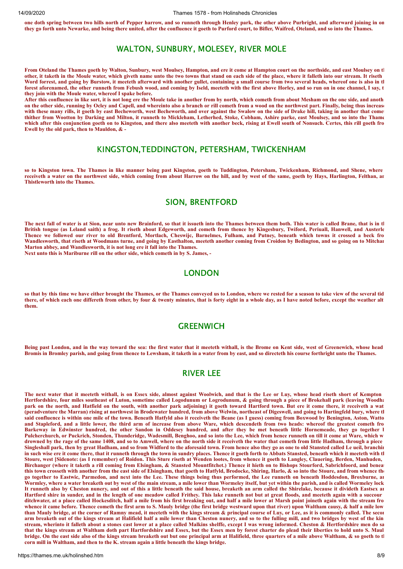**one doth spring between two hills north of Pepper harrow, and so runneth through Henley park, the other above Purbright, and afterward joining in on they go forth unto Newarke, and being there united, after the confluence it goeth to Purford court, to Bifler, Waifred, Oteland, and so into the Thames.**

## WALTON, SUNBURY, MOLESEY, RIVER MOLE

**From Oteland the Thames goeth by Walton, Sunbury, west Moulsey, Hampton, and ere it come at Hampton court on the northside, and east Moulsey on th other, it taketh in the Moule water, which giveth name unto the two towns that stand on each side of the place, where it falleth into our stream. It riseth**  Word forrest, and going by Burstow, it meeteth afterward with another gullet, containing a small course from two several heads, whereof one is also in the **forest aforenamed, the other runneth from Febush wood, and coming by Iseld, meeteth with the first above Horley, and so run on in one channel, I say, t they join with the Moule water, whereof I spake before.** 

**After this confluence in like sort, it is not long ere the Moule take in another from by north, which cometh from about Mesham on the one side, and anoth on the other side, running by Ocley and Capell, and whereinto also a branch or rill cometh from a wood on the northwest part. Finally, being thus increase** with these many rills, it goeth by east Becheworth, west Becheworth, and over against the Swalow on the side of Drake hill, taking in another that come **thither from Wootton by Darking and Milton, it runneth to Mickleham, Letherhed, Stoke, Cobham, Ashire parke, east Moulsey, and so into the Thame which after this conjunction goeth on to Kingston, and there also meeteth with another beck, rising at Ewell south of Nonsuch. Certes, this rill goeth fro Ewell by the old park, then to Mauldon, & -**

#### KINGSTON,TEDDINGTON, PETERSHAM, TWICKENHAM

**so to Kingston town. The Thames in like manner being past Kingston, goeth to Tuddington, Petersham, Twickenham, Richmond, and Shene, where receiveth a water on the northwest side, which coming from about Harrow on the hill, and by west of the same, goeth by Hays, Harlington, Felthan, an Thistleworth into the Thames.**

#### SION, BRENTFORD

**The next fall of water is at Sion, near unto new Brainford, so that it issueth into the Thames between them both. This water is called Brane, that is in th British tongue (as Leland saith) a frog. It riseth about Edgeworth, and cometh from thence by Kingesbury, Twiford, Periuall, Hanwell, and Austerle Thence we followed our river to old Brentford, Mortlach, Cheswijc, Barnelmes, Fulham, and Putney, beneath which towns it crossed a beck fro Wandlesworth, that riseth at Woodmans turne, and going by Easthalton, meeteth another coming from Croidon by Bedington, and so going on to Mitcham Marton abbey, and Wandlesworth, it is not long ere it fall into the Thames.**

**Next unto this is Mariburne rill on the other side, which cometh in by S. James, -**

## LONDON

**so that by this time we have either brought the Thames, or the Thames conveyed us to London, where we rested for a season to take view of the several tid there, of which each one differeth from other, by four & twenty minutes, that is forty eight in a whole day, as I have noted before, except the weather alt them.**

#### **GREENWICH**

**Being past London, and in the way toward the sea: the first water that it meeteth withall, is the Brome on Kent side, west of Greenewich, whose head Bromis in Bromley parish, and going from thence to Lewsham, it taketh in a water from by east, and so directeth his course forthright unto the Thames.**

#### RIVER LEE

**The next water that it meeteth withall, is on Essex side, almost against Woolwich, and that is the Lee or Luy, whose head riseth short of Kempton Hertfordshire, four miles southeast of Luton, sometime called Logodunum or Logrodunum, & going through a piece of Brokehall park (leaving Woodha park on the north, and Hatfield on the south, with another park adjoining) it goeth toward Hartford town. But ere it come there, it receiveth a wat (peradventure the Marran) rising at northwest in Brodewater hundred, from above Welwin, northeast of Digeswell, and going to Hartingfeld bury, where th said confluence is within one mile of the town. Beneath Hatfyld also it receiveth the Beane (as I guess) coming from Boxwood by Benington, Aston, Watto and Stapleford, and a little lower, the third arm of increase from above Ware, which descendeth from two heads: whereof the greatest cometh fro Barkeway in Edwinster hundred, the other Sandon in Oddesey hundred, and after they be met beneath little Hornemeade, they go together b Pulcherchurch, or Puckrich, Stonden, Thunderidge, Wadesmill, Benghoo, and so into the Lee, which from hence runneth on till it come at Ware, which w drowned by the rage of the same 1408, and so to Amwell, where on the north side it receiveth the water that cometh from little Hadham, through a piece Singleshall park, then by great Hadham, and so from Widford to the aforesaid town. From hence also they go as one to old Stansted called Le ueil, branchin in such wise ere it come there, that it runneth through the town in sundry places. Thence it goeth forth to Abbats Stansted, beneath which it meeteth with th Stoure, west [Sidenote: (as I remember) of Roidon. This Sture riseth at Wenden lootes, from whence it goeth to Langley, Clauering, Berden, Manhuden, Birchanger (where it taketh a rill coming from Elsingham, & Stansted Mountfitchet.) Thence it hieth on to Bishops Stourford, Sabrichfoord, and beneat this town crosseth with another from the east side of Elsingham, that goeth to Hatfyld, Brodocke, Shiring, Harlo, & so into the Stoure, and from whence the go together to Eastwic, Parmedon, and next into the Lee. These things being thus performed, the Lee runneth on beneath Hoddesdon, Broxburne, an Wormley, where a water breaketh out by west of the main stream, a mile lower than Wormeley itself, but yet within the parish, and is called Wormeley lock It runneth also by Cheston nunery, and out of this a little beneath the said house, breaketh an arm called the Shirelake, because it divideth Eastsex an Hartford shire in sunder, and in the length of one meadow called Frithey. This lake runneth not but at great floods, and meeteth again with a succour ditchwater, at a place called Hockesditch, half a mile from his first breaking out, and half a mile lower at Marsh point joineth again with the stream fro whence it came before. Thence cometh the first arm to S. Mauly bridge (the first bridge westward upon that river) upon Waltham causy, & half a mile low than Mauly bridge, at the corner of Ramny mead, it meeteth with the kings stream & principal course of Luy, or Lee, as it is commonly called. The secon arm breaketh out of the kings stream at Halifield half a mile lower than Cheston nunery, and so to the fulling mill, and two bridges by west of the kin stream, wherinto it falleth about a stones cast lower at a place called Malkins shelffe, except I was wrong informed. Cheston & Hertfordshire men do sa that the kings stream at Waltham doth part Hartfordshire and Essex, but the Essex men by forest charter do plead their liberties to hold unto S. Maul bridge. On the east side also of the kings stream breaketh out but one principal arm at Halifield, three quarters of a mile above Waltham, & so goeth to th corn mill in Waltham, and then to the K. stream again a little beneath the kings bridge.**